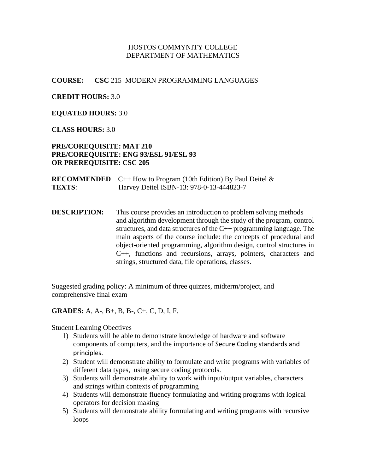#### HOSTOS COMMYNITY COLLEGE DEPARTMENT OF MATHEMATICS

#### **COURSE: CSC** 215 MODERN PROGRAMMING LANGUAGES

#### **CREDIT HOURS:** 3.0

#### **EQUATED HOURS:** 3.0

#### **CLASS HOURS:** 3.0

#### **PRE/COREQUISITE: MAT 210 PRE/COREQUISITE: ENG 93/ESL 91/ESL 93 OR PREREQUISITE: CSC 205**

**RECOMMENDED**  $C++$  How to Program (10th Edition) By Paul Deitel  $\&$ **TEXTS**: Harvey Deitel ISBN-13: 978-0-13-444823-7

**DESCRIPTION:** This course provides an introduction to problem solving methods and algorithm development through the study of the program, control structures, and data structures of the C++ programming language. The main aspects of the course include: the concepts of procedural and object-oriented programming, algorithm design, control structures in C++, functions and recursions, arrays, pointers, characters and strings, structured data, file operations, classes.

Suggested grading policy: A minimum of three quizzes, midterm/project, and comprehensive final exam

#### **GRADES:** A, A-, B+, B, B-, C+, C, D, I, F.

Student Learning Obectives

- 1) Students will be able to demonstrate knowledge of hardware and software components of computers, and the importance of Secure Coding standards and principles.
- 2) Student will demonstrate ability to formulate and write programs with variables of different data types, using secure coding protocols.
- 3) Students will demonstrate ability to work with input/output variables, characters and strings within contexts of programming
- 4) Students will demonstrate fluency formulating and writing programs with logical operators for decision making
- 5) Students will demonstrate ability formulating and writing programs with recursive loops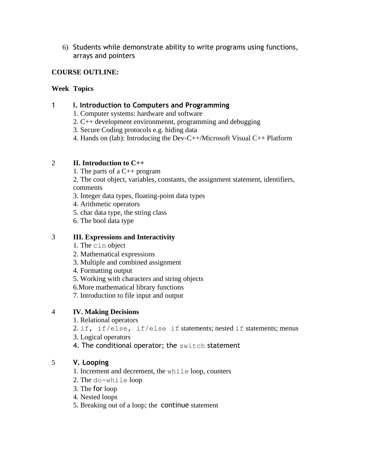6) Students while demonstrate ability to write programs using functions, arrays and pointers

## **COURSE OUTLINE:**

#### **Week Topics**

## 1 **I. Introduction to Computers and Programming**

- 1. Computer systems: hardware and software
- 2. C++ development environmennt, programming and debugging
- 3. Secure Coding protocols e.g. hiding data
- 4. Hands on (lab): Introducing the Dev-C++/Microsoft Visual C++ Platform

## 2 **II. Introduction to C++**

- 1. The parts of a C++ program
- 2. The cout object, variables, constants, the assignment statement, identifiers, comments
- 3. Integer data types, floating-point data types
- 4. Arithmetic operators
- 5. char data type, the string class
- 6. The bool data type

## 3 **III. Expressions and Interactivity**

- 1. The cin object
- 2. Mathematical expressions
- 3. Multiple and combined assignment
- 4. Formatting output
- 5. Working with characters and string objects
- 6.More mathematical library functions
- 7. Introduction to file input and output

## 4 **IV. Making Decisions**

- 1. Relational operators
- 2. if, if/else, if/else if statements; nested if statements; menus
- 3. Logical operators
- 4. The conditional operator; the switch statement

## 5 **V. Looping**

- 1. Increment and decrement, the while loop, counters
- 2. The do-while loop
- 3. The for loop
- 4. Nested loops
- 5. Breaking out of a loop; the continue statement